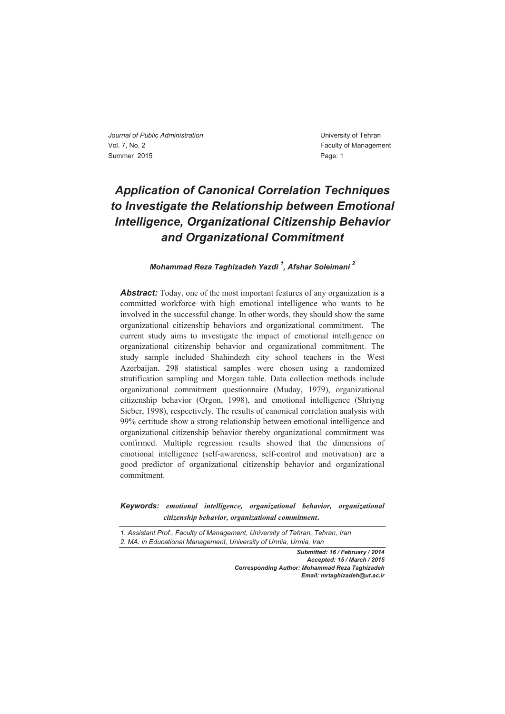# *Application of Canonical Correlation Techniques to Investigate the Relationship between Emotional Intelligence, Organizational Citizenship Behavior and Organizational Commitment*

#### *Mohammad Reza Taghizadeh Yazdi 1 , Afshar Soleimani <sup>2</sup>*

*Abstract:* Today, one of the most important features of any organization is a committed workforce with high emotional intelligence who wants to be involved in the successful change. In other words, they should show the same organizational citizenship behaviors and organizational commitment. The current study aims to investigate the impact of emotional intelligence on organizational citizenship behavior and organizational commitment. The study sample included Shahindezh city school teachers in the West Azerbaijan. 298 statistical samples were chosen using a randomized stratification sampling and Morgan table. Data collection methods include organizational commitment questionnaire (Muday, 1979), organizational citizenship behavior (Orgon, 1998), and emotional intelligence (Shriyng Sieber, 1998), respectively. The results of canonical correlation analysis with 99% certitude show a strong relationship between emotional intelligence and organizational citizenship behavior thereby organizational commitment was confirmed. Multiple regression results showed that the dimensions of emotional intelligence (self-awareness, self-control and motivation) are a good predictor of organizational citizenship behavior and organizational commitment.

*Keywords: emotional intelligence, organizational behavior, organizational citizenship behavior, organizational commitment***.** 

*1. Assistant Prof., Faculty of Management, University of Tehran, Tehran, Iran 2. MA. in Educational Management, University of Urmia, Urmia, Iran* 

> *Submitted: 16 / February / 2014 Accepted: 15 / March / 2015 Corresponding Author: Mohammad Reza Taghizadeh Email: mrtaghizadeh@ut.ac.ir*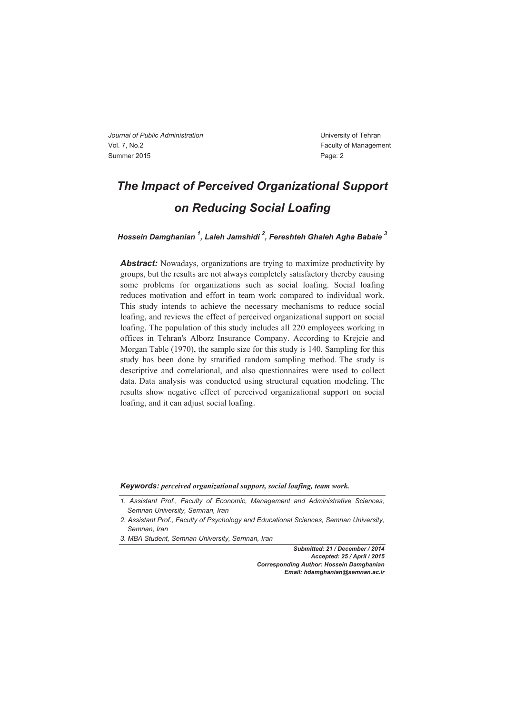# *The Impact of Perceived Organizational Support on Reducing Social Loafing*

*Hossein Damghanian 1 , Laleh Jamshidi 2 , Fereshteh Ghaleh Agha Babaie 3* 

Abstract: Nowadays, organizations are trying to maximize productivity by groups, but the results are not always completely satisfactory thereby causing some problems for organizations such as social loafing. Social loafing reduces motivation and effort in team work compared to individual work. This study intends to achieve the necessary mechanisms to reduce social loafing, and reviews the effect of perceived organizational support on social loafing. The population of this study includes all 220 employees working in offices in Tehran's Alborz Insurance Company. According to Krejcie and Morgan Table (1970), the sample size for this study is 140. Sampling for this study has been done by stratified random sampling method. The study is descriptive and correlational, and also questionnaires were used to collect data. Data analysis was conducted using structural equation modeling. The results show negative effect of perceived organizational support on social loafing, and it can adjust social loafing.

*Keywords: perceived organizational support, social loafing, team work.*

*1. Assistant Prof., Faculty of Economic, Management and Administrative Sciences, Semnan University, Semnan, Iran* 

*2. Assistant Prof., Faculty of Psychology and Educational Sciences, Semnan University, Semnan, Iran* 

*3. MBA Student, Semnan University, Semnan, Iran* 

*Submitted: 21 / December / 2014 Accepted: 25 / April / 2015 Corresponding Author: Hossein Damghanian Email: hdamghanian@semnan.ac.ir*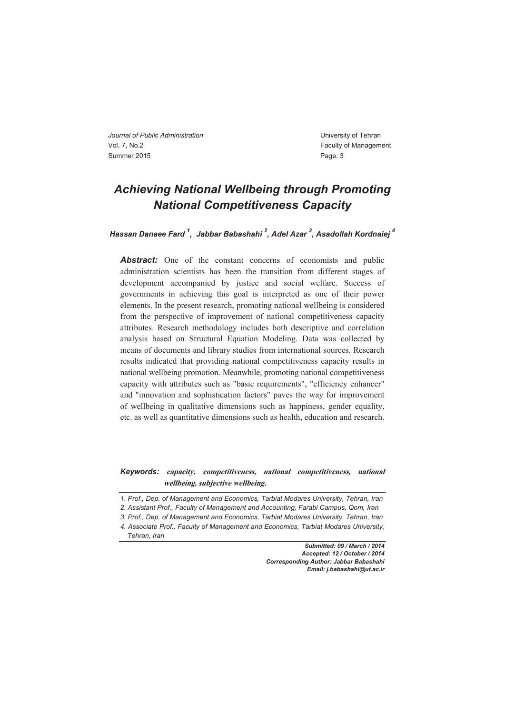### *Achieving National Wellbeing through Promoting National Competitiveness Capacity*

*Hassan Danaee Fard 1 , Jabbar Babashahi 2 , Adel Azar 3 , Asadollah Kordnaiej 4* 

**Abstract:** One of the constant concerns of economists and public administration scientists has been the transition from different stages of development accompanied by justice and social welfare. Success of governments in achieving this goal is interpreted as one of their power elements. In the present research, promoting national wellbeing is considered from the perspective of improvement of national competitiveness capacity attributes. Research methodology includes both descriptive and correlation analysis based on Structural Equation Modeling. Data was collected by means of documents and library studies from international sources. Research results indicated that providing national competitiveness capacity results in national wellbeing promotion. Meanwhile, promoting national competitiveness capacity with attributes such as "basic requirements", "efficiency enhancer" and "innovation and sophistication factors" paves the way for improvement of wellbeing in qualitative dimensions such as happiness, gender equality, etc. as well as quantitative dimensions such as health, education and research.

#### *Keywords:* **capacity, competitiveness, national competitiveness, national wellbeing, subjective wellbeing.**

*Submitted: 09 / March / 2014 Accepted: 12 / October / 2014 Corresponding Author: Jabbar Babashahi Email: j.babashahi@ut.ac.ir* 

*<sup>1.</sup> Prof., Dep. of Management and Economics, Tarbiat Modares University, Tehran, Iran* 

*<sup>2.</sup> Assistant Prof., Faculty of Management and Accounting, Farabi Campus, Qom, Iran* 

*<sup>3.</sup> Prof., Dep. of Management and Economics, Tarbiat Modares University, Tehran, Iran* 

*<sup>4.</sup> Associate Prof., Faculty of Management and Economics, Tarbiat Modares University, Tehran, Iran*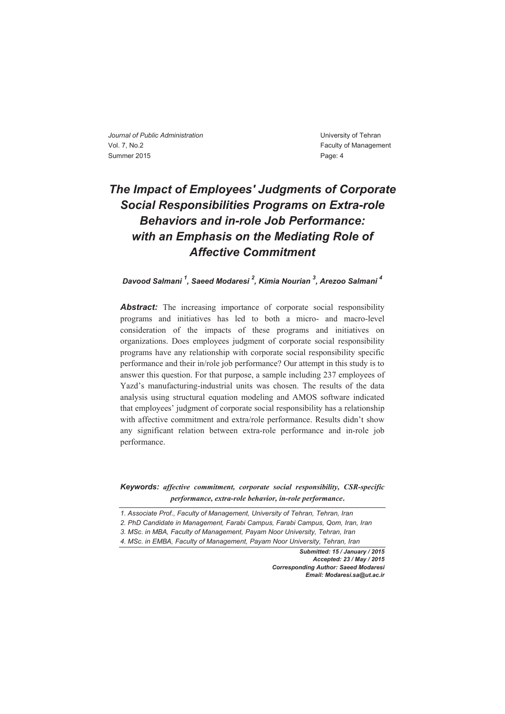### *The Impact of Employees' Judgments of Corporate Social Responsibilities Programs on Extra-role Behaviors and in-role Job Performance: with an Emphasis on the Mediating Role of Affective Commitment*

Davood Salmani <sup>1</sup>, Saeed Modaresi <sup>2</sup>, Kimia Nourian <sup>3</sup>, Arezoo Salmani <sup>4</sup>

**Abstract:** The increasing importance of corporate social responsibility programs and initiatives has led to both a micro- and macro-level consideration of the impacts of these programs and initiatives on organizations. Does employees judgment of corporate social responsibility programs have any relationship with corporate social responsibility specific performance and their in/role job performance? Our attempt in this study is to answer this question. For that purpose, a sample including 237 employees of Yazd's manufacturing-industrial units was chosen. The results of the data analysis using structural equation modeling and AMOS software indicated that employees' judgment of corporate social responsibility has a relationship with affective commitment and extra/role performance. Results didn't show any significant relation between extra-role performance and in-role job performance.

*Keywords: affective commitment, corporate social responsibility, CSR-specific performance, extra-role behavior, in-role performance***.** 

*1. Associate Prof., Faculty of Management, University of Tehran, Tehran, Iran 2. PhD Candidate in Management, Farabi Campus, Farabi Campus, Qom, Iran, Iran 3. MSc. in MBA, Faculty of Management, Payam Noor University, Tehran, Iran 4. MSc. in EMBA, Faculty of Management, Payam Noor University, Tehran, Iran* 

> *Submitted: 15 / January / 2015 Accepted: 23 / May / 2015 Corresponding Author: Saeed Modaresi Email: Modaresi.sa@ut.ac.ir*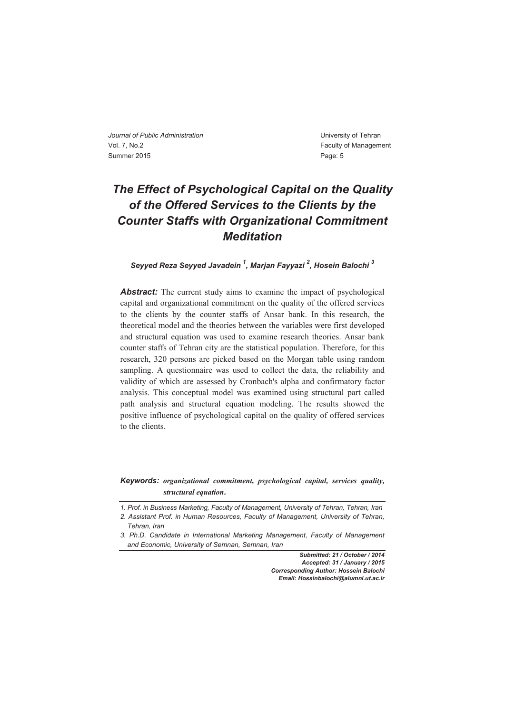## *The Effect of Psychological Capital on the Quality of the Offered Services to the Clients by the Counter Staffs with Organizational Commitment Meditation*

Seyyed Reza Seyyed Javadein<sup>1</sup>, Marjan Fayyazi<sup>2</sup>, Hosein Balochi<sup>3</sup>

**Abstract:** The current study aims to examine the impact of psychological capital and organizational commitment on the quality of the offered services to the clients by the counter staffs of Ansar bank. In this research, the theoretical model and the theories between the variables were first developed and structural equation was used to examine research theories. Ansar bank counter staffs of Tehran city are the statistical population. Therefore, for this research, 320 persons are picked based on the Morgan table using random sampling. A questionnaire was used to collect the data, the reliability and validity of which are assessed by Cronbach's alpha and confirmatory factor analysis. This conceptual model was examined using structural part called path analysis and structural equation modeling. The results showed the positive influence of psychological capital on the quality of offered services to the clients.

*Keywords: organizational commitment, psychological capital, services quality, structural equation***.** 

*Submitted: 21 / October / 2014 Accepted: 31 / January / 2015 Corresponding Author: Hossein Balochi Email: Hossinbalochi@alumni.ut.ac.ir* 

*<sup>1.</sup> Prof. in Business Marketing, Faculty of Management, University of Tehran, Tehran, Iran* 

*<sup>2.</sup> Assistant Prof. in Human Resources, Faculty of Management, University of Tehran, Tehran, Iran* 

*<sup>3.</sup> Ph.D. Candidate in International Marketing Management, Faculty of Management and Economic, University of Semnan, Semnan, Iran*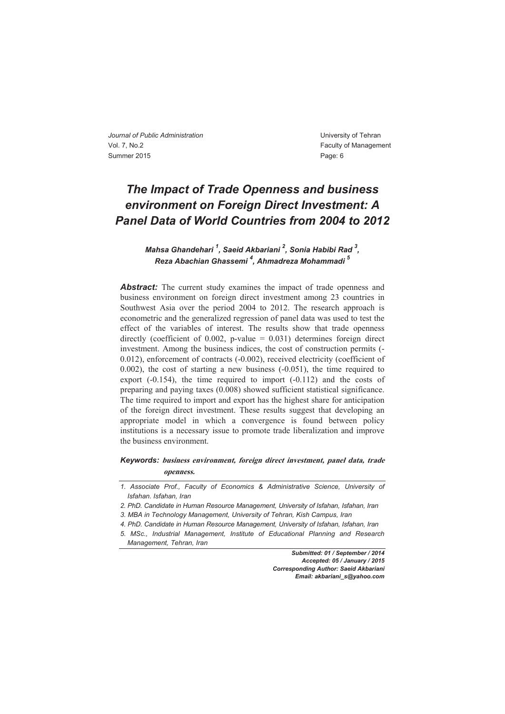## *The Impact of Trade Openness and business environment on Foreign Direct Investment: A Panel Data of World Countries from 2004 to 2012*

*Mahsa Ghandehari <sup>1</sup> , Saeid Akbariani 2 , Sonia Habibi Rad 3 , Reza Abachian Ghassemi 4 , Ahmadreza Mohammadi <sup>5</sup>* 

**Abstract:** The current study examines the impact of trade openness and business environment on foreign direct investment among 23 countries in Southwest Asia over the period 2004 to 2012. The research approach is econometric and the generalized regression of panel data was used to test the effect of the variables of interest. The results show that trade openness directly (coefficient of 0.002, p-value =  $0.031$ ) determines foreign direct investment. Among the business indices, the cost of construction permits (- 0.012), enforcement of contracts (-0.002), received electricity (coefficient of 0.002), the cost of starting a new business (-0.051), the time required to export (-0.154), the time required to import (-0.112) and the costs of preparing and paying taxes (0.008) showed sufficient statistical significance. The time required to import and export has the highest share for anticipation of the foreign direct investment. These results suggest that developing an appropriate model in which a convergence is found between policy institutions is a necessary issue to promote trade liberalization and improve the business environment.

#### *Keywords:* **business environment, foreign direct investment, panel data, trade openness.**

*1. Associate Prof., Faculty of Economics & Administrative Science, University of Isfahan. Isfahan, Iran* 

*Submitted: 01 / September / 2014 Accepted: 05 / January / 2015 Corresponding Author: Saeid Akbariani Email: akbariani\_s@yahoo.com* 

*<sup>2.</sup> PhD. Candidate in Human Resource Management, University of Isfahan, Isfahan, Iran* 

*<sup>3.</sup> MBA in Technology Management, University of Tehran, Kish Campus, Iran* 

*<sup>4.</sup> PhD. Candidate in Human Resource Management, University of Isfahan, Isfahan, Iran* 

*<sup>5.</sup> MSc., Industrial Management, Institute of Educational Planning and Research Management, Tehran, Iran*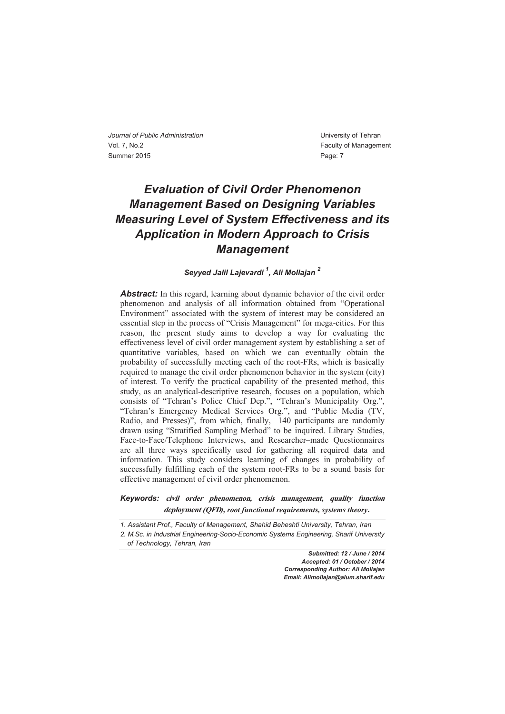### *Evaluation of Civil Order Phenomenon Management Based on Designing Variables Measuring Level of System Effectiveness and its Application in Modern Approach to Crisis Management*

#### *Seyyed Jalil Lajevardi 1 , Ali Mollajan 2*

**Abstract:** In this regard, learning about dynamic behavior of the civil order phenomenon and analysis of all information obtained from "Operational Environment" associated with the system of interest may be considered an essential step in the process of "Crisis Management" for mega-cities. For this reason, the present study aims to develop a way for evaluating the effectiveness level of civil order management system by establishing a set of quantitative variables, based on which we can eventually obtain the probability of successfully meeting each of the root-FRs, which is basically required to manage the civil order phenomenon behavior in the system (city) of interest. To verify the practical capability of the presented method, this study, as an analytical-descriptive research, focuses on a population, which consists of "Tehran's Police Chief Dep.", "Tehran's Municipality Org.", "Tehran's Emergency Medical Services Org.", and "Public Media (TV, Radio, and Presses)", from which, finally, 140 participants are randomly drawn using "Stratified Sampling Method" to be inquired. Library Studies, Face-to-Face/Telephone Interviews, and Researcher–made Questionnaires are all three ways specifically used for gathering all required data and information. This study considers learning of changes in probability of successfully fulfilling each of the system root-FRs to be a sound basis for effective management of civil order phenomenon.

*Keywords:* **civil order phenomenon, crisis management, quality function deployment (QFD***), root functional requirements, systems theory***.** 

*1. Assistant Prof., Faculty of Management, Shahid Beheshti University, Tehran, Iran* 

*Submitted: 12 / June / 2014 Accepted: 01 / October / 2014 Corresponding Author: Ali Mollajan Email: Alimollajan@alum.sharif.edu*

*<sup>2.</sup> M.Sc. in Industrial Engineering-Socio-Economic Systems Engineering, Sharif University of Technology, Tehran, Iran*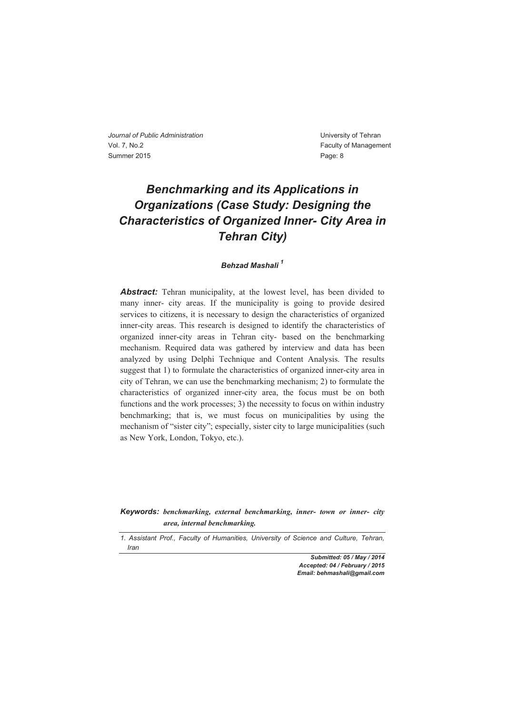*Journal of Public Administration* University of Tehran Vol. 7, No.2 **Faculty of Management Vol. 7, No.2** Faculty of Management Summer 2015 **Page: 8** 

# *Benchmarking and its Applications in Organizations (Case Study: Designing the Characteristics of Organized Inner- City Area in Tehran City)*

### *Behzad Mashali 1*

Abstract: Tehran municipality, at the lowest level, has been divided to many inner- city areas. If the municipality is going to provide desired services to citizens, it is necessary to design the characteristics of organized inner-city areas. This research is designed to identify the characteristics of organized inner-city areas in Tehran city- based on the benchmarking mechanism. Required data was gathered by interview and data has been analyzed by using Delphi Technique and Content Analysis. The results suggest that 1) to formulate the characteristics of organized inner-city area in city of Tehran, we can use the benchmarking mechanism; 2) to formulate the characteristics of organized inner-city area, the focus must be on both functions and the work processes; 3) the necessity to focus on within industry benchmarking; that is, we must focus on municipalities by using the mechanism of "sister city"; especially, sister city to large municipalities (such as New York, London, Tokyo, etc.).

*Keywords: benchmarking, external benchmarking, inner- town or inner- city area, internal benchmarking.*

*1. Assistant Prof., Faculty of Humanities, University of Science and Culture, Tehran, Iran* 

> *Submitted: 05 / May / 2014 Accepted: 04 / February / 2015 Email: behmashali@gmail.com*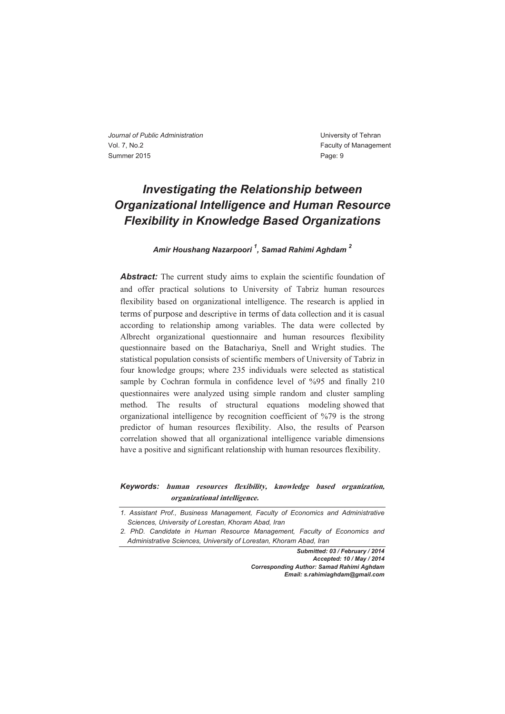### *Investigating the Relationship between Organizational Intelligence and Human Resource Flexibility in Knowledge Based Organizations*

### *Amir Houshang Nazarpoori 1 , Samad Rahimi Aghdam <sup>2</sup>*

Abstract: The current study aims to explain the scientific foundation of and offer practical solutions to University of Tabriz human resources flexibility based on organizational intelligence. The research is applied in terms of purpose and descriptive in terms of data collection and it is casual according to relationship among variables. The data were collected by Albrecht organizational questionnaire and human resources flexibility questionnaire based on the Batachariya, Snell and Wright studies. The statistical population consists of scientific members of University of Tabriz in four knowledge groups; where 235 individuals were selected as statistical sample by Cochran formula in confidence level of %95 and finally 210 questionnaires were analyzed using simple random and cluster sampling method. The results of structural equations modeling showed that organizational intelligence by recognition coefficient of %79 is the strong predictor of human resources flexibility. Also, the results of Pearson correlation showed that all organizational intelligence variable dimensions have a positive and significant relationship with human resources flexibility.

*Keywords:* **human resources flexibility, knowledge based organization, organizational intelligence.** 

*Submitted: 03 / February / 2014 Accepted: 10 / May / 2014 Corresponding Author: Samad Rahimi Aghdam Email: s.rahimiaghdam@gmail.com*

*<sup>1.</sup> Assistant Prof., Business Management, Faculty of Economics and Administrative Sciences, University of Lorestan, Khoram Abad, Iran* 

*<sup>2.</sup> PhD. Candidate in Human Resource Management, Faculty of Economics and Administrative Sciences, University of Lorestan, Khoram Abad, Iran*